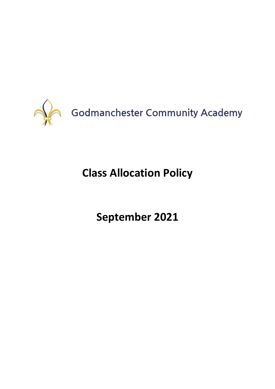

# **Class Allocation Policy**

**September 2021**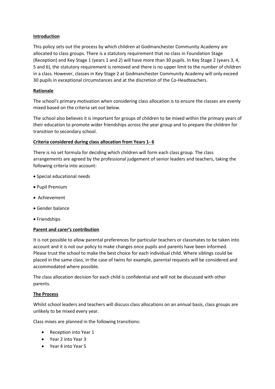## **Introduction**

This policy sets out the process by which children at Godmanchester Community Academy are allocated to class groups. There is a statutory requirement that no class in Foundation Stage (Reception) and Key Stage 1 (years 1 and 2) will have more than 30 pupils. In Key Stage 2 (years 3, 4, 5 and 6), the statutory requirement is removed and there is no upper limit to the number of children in a class. However, classes in Key Stage 2 at Godmanchester Community Academy will only exceed 30 pupils in exceptional circumstances and at the discretion of the Co-Headteachers.

## **Rationale**

The school's primary motivation when considering class allocation is to ensure the classes are evenly mixed based on the criteria set out below.

The school also believes it is important for groups of children to be mixed within the primary years of their education to promote wider friendships across the year group and to prepare the children for transition to secondary school.

## **Criteria considered during class allocation from Years 1- 6**

There is no set formula for deciding which children will form each class group. The class arrangements are agreed by the professional judgement of senior leaders and teachers, taking the following criteria into account:

- Special educational needs
- Pupil Premium
- Achievement
- Gender balance
- Friendships

### **Parent and carer's contribution**

It is not possible to allow parental preferences for particular teachers or classmates to be taken into account and it is not our policy to make changes once pupils and parents have been informed. Please trust the school to make the best choice for each individual child. Where siblings could be placed in the same class, in the case of twins for example, parental requests will be considered and accommodated where possible.

The class allocation decision for each child is confidential and will not be discussed with other parents.

### **The Process**

Whilst school leaders and teachers will discuss class allocations on an annual basis, class groups are unlikely to be mixed every year.

Class mixes are planned in the following transitions:

- Reception into Year 1
- Year 2 into Year 3
- Year 4 into Year 5